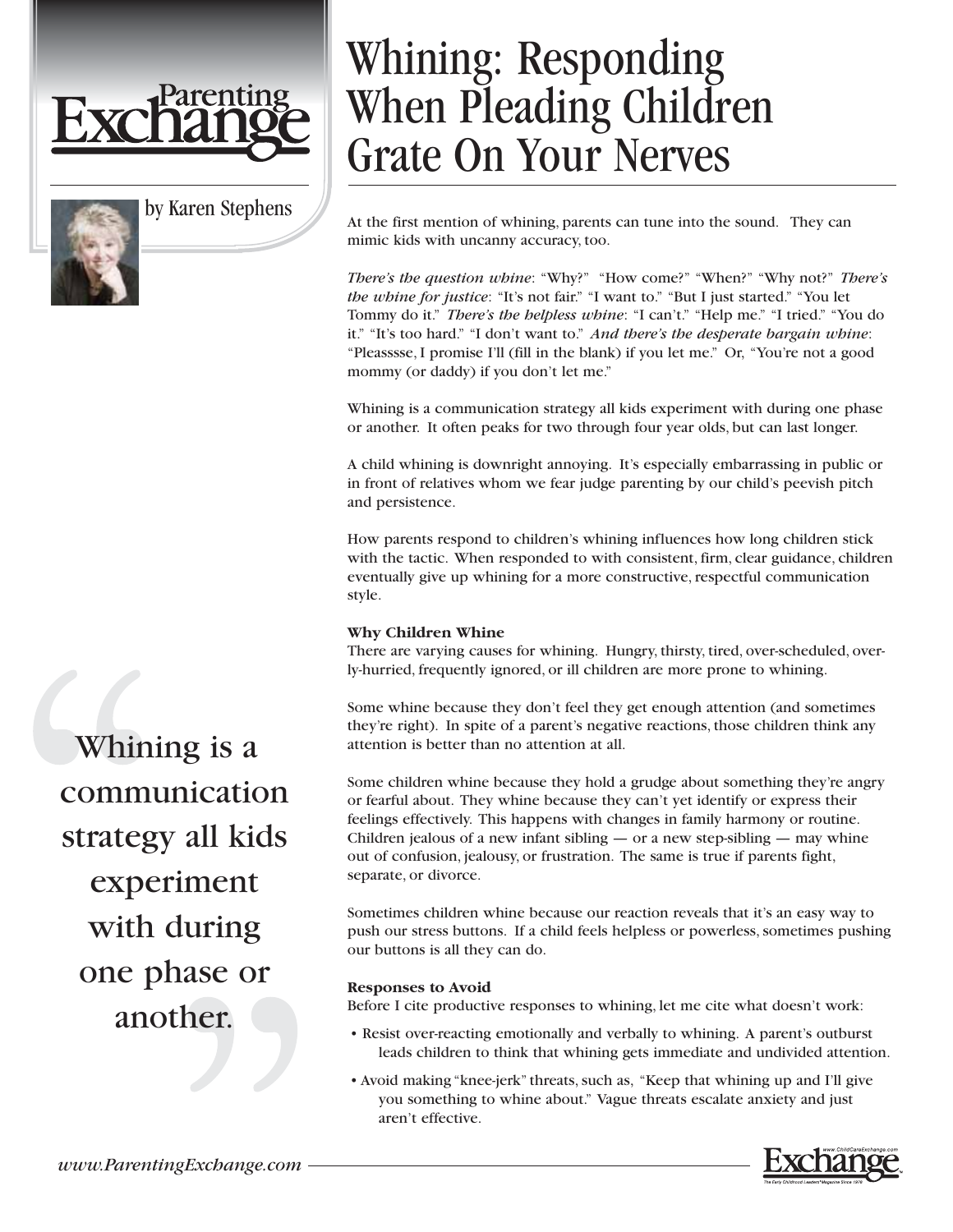

by Karen Stephens

# Whining: Responding When Pleading Children Grate On Your Nerves

At the first mention of whining, parents can tune into the sound. They can mimic kids with uncanny accuracy, too.

*There's the question whine*: "Why?" "How come?" "When?" "Why not?" *There's the whine for justice*: "It's not fair." "I want to." "But I just started." "You let Tommy do it." *There's the helpless whine*: "I can't." "Help me." "I tried." "You do it." "It's too hard." "I don't want to." *And there's the desperate bargain whine*: "Pleasssse, I promise I'll (fill in the blank) if you let me." Or, "You're not a good mommy (or daddy) if you don't let me."

Whining is a communication strategy all kids experiment with during one phase or another. It often peaks for two through four year olds, but can last longer.

A child whining is downright annoying. It's especially embarrassing in public or in front of relatives whom we fear judge parenting by our child's peevish pitch and persistence.

How parents respond to children's whining influences how long children stick with the tactic. When responded to with consistent, firm, clear guidance, children eventually give up whining for a more constructive, respectful communication style.

### **Why Children Whine**

There are varying causes for whining. Hungry, thirsty, tired, over-scheduled, overly-hurried, frequently ignored, or ill children are more prone to whining.

Some whine because they don't feel they get enough attention (and sometimes they're right). In spite of a parent's negative reactions, those children think any attention is better than no attention at all.

Some children whine because they hold a grudge about something they're angry or fearful about. They whine because they can't yet identify or express their feelings effectively. This happens with changes in family harmony or routine. Children jealous of a new infant sibling — or a new step-sibling — may whine out of confusion, jealousy, or frustration. The same is true if parents fight, separate, or divorce.

Sometimes children whine because our reaction reveals that it's an easy way to push our stress buttons. If a child feels helpless or powerless, sometimes pushing our buttons is all they can do.

#### **Responses to Avoid**

Before I cite productive responses to whining, let me cite what doesn't work:

- Resist over-reacting emotionally and verbally to whining. A parent's outburst leads children to think that whining gets immediate and undivided attention.
- Avoid making "knee-jerk" threats, such as, "Keep that whining up and I'll give you something to whine about." Vague threats escalate anxiety and just aren't effective.

Whining is a communication strategy all kids experiment with during one phase or another.